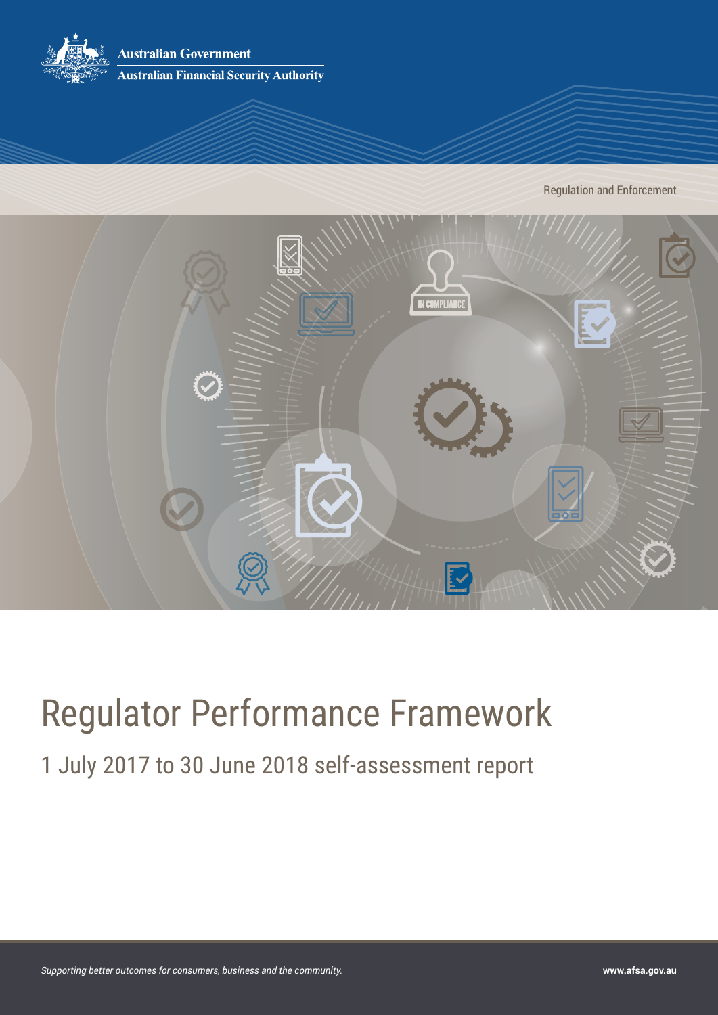

Regulation and Enforcement



# Regulator Performance Framework

1 July 2017 to 30 June 2018 self-assessment report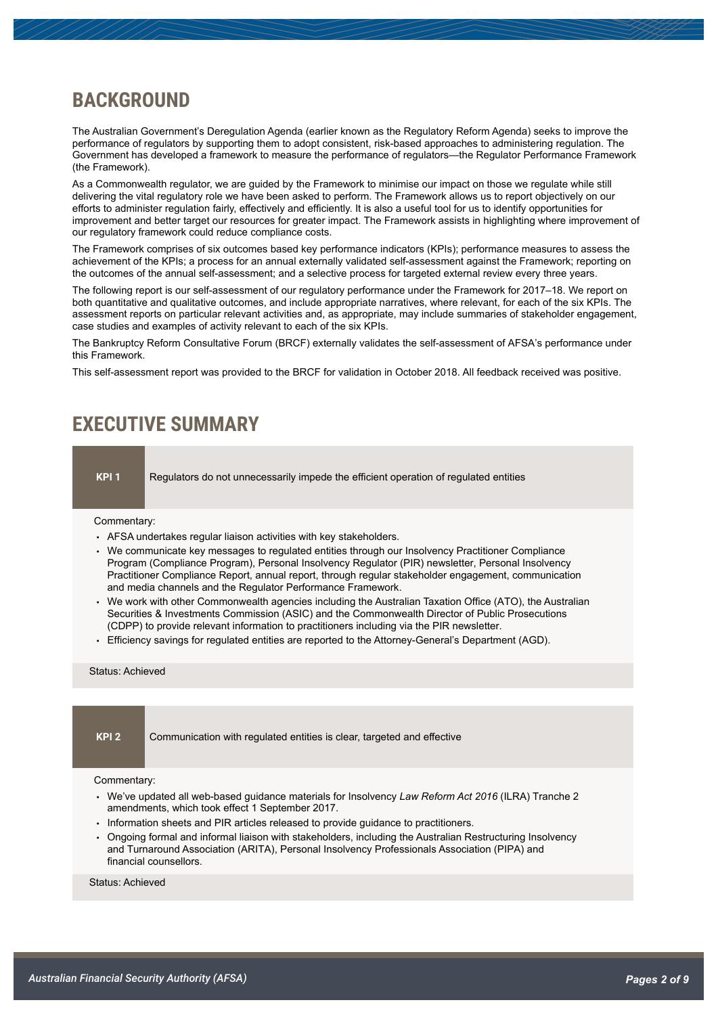# **BACKGROUND**

The Australian Government's Deregulation Agenda (earlier known as the Regulatory Reform Agenda) seeks to improve the performance of regulators by supporting them to adopt consistent, risk-based approaches to administering regulation. The Government has developed a framework to measure the performance of regulators—the Regulator Performance Framework (the Framework).

As a Commonwealth regulator, we are guided by the Framework to minimise our impact on those we regulate while still delivering the vital regulatory role we have been asked to perform. The Framework allows us to report objectively on our efforts to administer regulation fairly, effectively and efficiently. It is also a useful tool for us to identify opportunities for improvement and better target our resources for greater impact. The Framework assists in highlighting where improvement of our regulatory framework could reduce compliance costs.

The Framework comprises of six outcomes based key performance indicators (KPIs); performance measures to assess the achievement of the KPIs; a process for an annual externally validated self-assessment against the Framework; reporting on the outcomes of the annual self-assessment; and a selective process for targeted external review every three years.

The following report is our self-assessment of our regulatory performance under the Framework for 2017–18. We report on both quantitative and qualitative outcomes, and include appropriate narratives, where relevant, for each of the six KPIs. The assessment reports on particular relevant activities and, as appropriate, may include summaries of stakeholder engagement, case studies and examples of activity relevant to each of the six KPIs.

The Bankruptcy Reform Consultative Forum (BRCF) externally validates the self-assessment of AFSA's performance under this Framework.

This self-assessment report was provided to the BRCF for validation in October 2018. All feedback received was positive.

## **EXECUTIVE SUMMARY**

**KPI 1** Regulators do not unnecessarily impede the efficient operation of regulated entities

#### Commentary:

- AFSA undertakes regular liaison activities with key stakeholders.
- We communicate key messages to regulated entities through our Insolvency Practitioner Compliance Program (Compliance Program), Personal Insolvency Regulator (PIR) newsletter, Personal Insolvency Practitioner Compliance Report, annual report, through regular stakeholder engagement, communication and media channels and the Regulator Performance Framework.
- We work with other Commonwealth agencies including the Australian Taxation Office (ATO), the Australian Securities & Investments Commission (ASIC) and the Commonwealth Director of Public Prosecutions (CDPP) to provide relevant information to practitioners including via the PIR newsletter.
- Efficiency savings for regulated entities are reported to the Attorney-General's Department (AGD).

#### Status: Achieved

**KPI 2** Communication with regulated entities is clear, targeted and effective

#### Commentary:

- We've updated all web-based guidance materials for Insolvency *Law Reform Act 2016* (ILRA) Tranche 2 amendments, which took effect 1 September 2017.
- Information sheets and PIR articles released to provide guidance to practitioners.
- Ongoing formal and informal liaison with stakeholders, including the Australian Restructuring Insolvency and Turnaround Association (ARITA), Personal Insolvency Professionals Association (PIPA) and financial counsellors.

Status: Achieved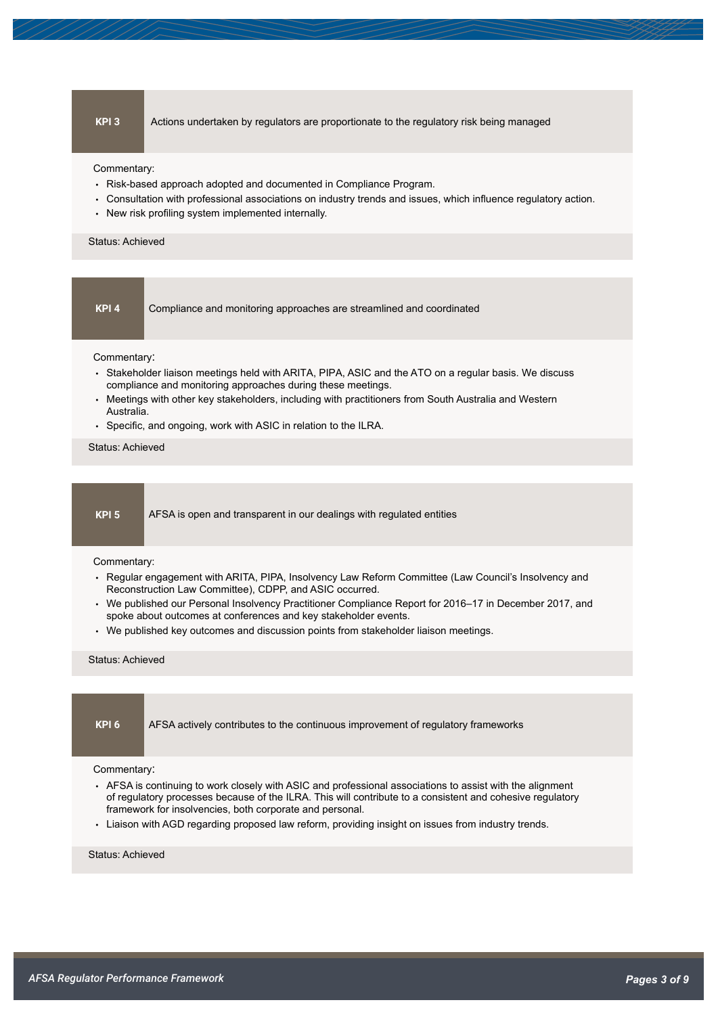**KPI 3** Actions undertaken by regulators are proportionate to the regulatory risk being managed

Commentary:

- Risk-based approach adopted and documented in Compliance Program.
- Consultation with professional associations on industry trends and issues, which influence regulatory action.
- New risk profiling system implemented internally.

#### Status: Achieved

| ٠ |  |
|---|--|
|   |  |

Compliance and monitoring approaches are streamlined and coordinated

Commentary:

- Stakeholder liaison meetings held with ARITA, PIPA, ASIC and the ATO on a regular basis. We discuss compliance and monitoring approaches during these meetings.
- Meetings with other key stakeholders, including with practitioners from South Australia and Western Australia.
- Specific, and ongoing, work with ASIC in relation to the ILRA.

Status: Achieved

**KPI 5** AFSA is open and transparent in our dealings with regulated entities

#### Commentary:

- Regular engagement with ARITA, PIPA, Insolvency Law Reform Committee (Law Council's Insolvency and Reconstruction Law Committee), CDPP, and ASIC occurred.
- We published our Personal Insolvency Practitioner Compliance Report for 2016–17 in December 2017, and spoke about outcomes at conferences and key stakeholder events.
- We published key outcomes and discussion points from stakeholder liaison meetings.

#### Status: Achieved

**KPI 6** AFSA actively contributes to the continuous improvement of regulatory frameworks

#### Commentary:

- AFSA is continuing to work closely with ASIC and professional associations to assist with the alignment of regulatory processes because of the ILRA. This will contribute to a consistent and cohesive regulatory framework for insolvencies, both corporate and personal.
- Liaison with AGD regarding proposed law reform, providing insight on issues from industry trends.

#### Status: Achieved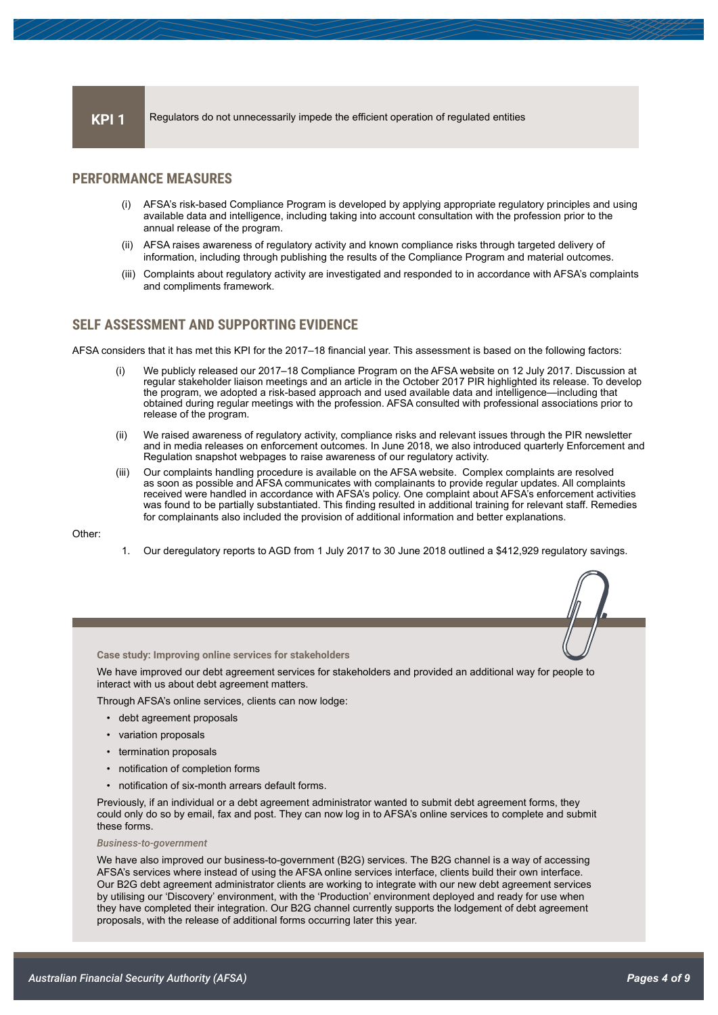#### **KPI 1** Regulators do not unnecessarily impede the efficient operation of regulated entities

#### **PERFORMANCE MEASURES**

- (i) AFSA's risk-based Compliance Program is developed by applying appropriate regulatory principles and using available data and intelligence, including taking into account consultation with the profession prior to the annual release of the program.
- (ii) AFSA raises awareness of regulatory activity and known compliance risks through targeted delivery of information, including through publishing the results of the Compliance Program and material outcomes.
- (iii) Complaints about regulatory activity are investigated and responded to in accordance with AFSA's complaints and compliments framework.

#### **SELF ASSESSMENT AND SUPPORTING EVIDENCE**

AFSA considers that it has met this KPI for the 2017–18 financial year. This assessment is based on the following factors:

- We publicly released our 2017–18 [Compliance Program](https://www.afsa.gov.au/insolvency/i-am-practitioner/compliance-program) on the AFSA website on 12 July 2017. Discussion at regular stakeholder liaison meetings and an article in the October 2017 PIR highlighted its release. To develop the program, we adopted a risk-based approach and used available data and intelligence—including that obtained during regular meetings with the profession. AFSA consulted with professional associations prior to release of the program.
- (ii) We raised awareness of regulatory activity, compliance risks and relevant issues through the PIR newsletter and in media releases on enforcement outcomes. In June 2018, we also introduced quarterly Enforcement and Regulation snapshot webpages to raise awareness of our regulatory activity.
- (iii) Our complaints handling procedure is available on the AFSA website. Complex complaints are resolved as soon as possible and AFSA communicates with complainants to provide regular updates. All complaints received were handled in accordance with AFSA's policy. One complaint about AFSA's enforcement activities was found to be partially substantiated. This finding resulted in additional training for relevant staff. Remedies for complainants also included the provision of additional information and better explanations.

Other:

1. Our deregulatory reports to AGD from 1 July 2017 to 30 June 2018 outlined a \$412,929 regulatory savings.

**Case study: Improving online services for stakeholders**

We have improved our debt agreement services for stakeholders and provided an additional way for people to interact with us about debt agreement matters.

Through [AFSA's online services,](https://www.afsa.gov.au/online-services/debt-agreements-online) clients can now lodge:

- debt agreement proposals
- variation proposals
- termination proposals
- notification of completion forms
- notification of six-month arrears default forms.

Previously, if an individual or a debt agreement administrator wanted to submit debt agreement forms, they could only do so by email, fax and post. They can now log in to AFSA's online services to complete and submit these forms.

#### *Business-to-government*

We have also improved our business-to-government (B2G) services. The B2G channel is a way of accessing AFSA's services where instead of using the AFSA online services interface, clients build their own interface. Our B2G debt agreement administrator clients are working to integrate with our new debt agreement services by utilising our 'Discovery' environment, with the 'Production' environment deployed and ready for use when they have completed their integration. Our B2G channel currently supports the lodgement of debt agreement proposals, with the release of additional forms occurring later this year.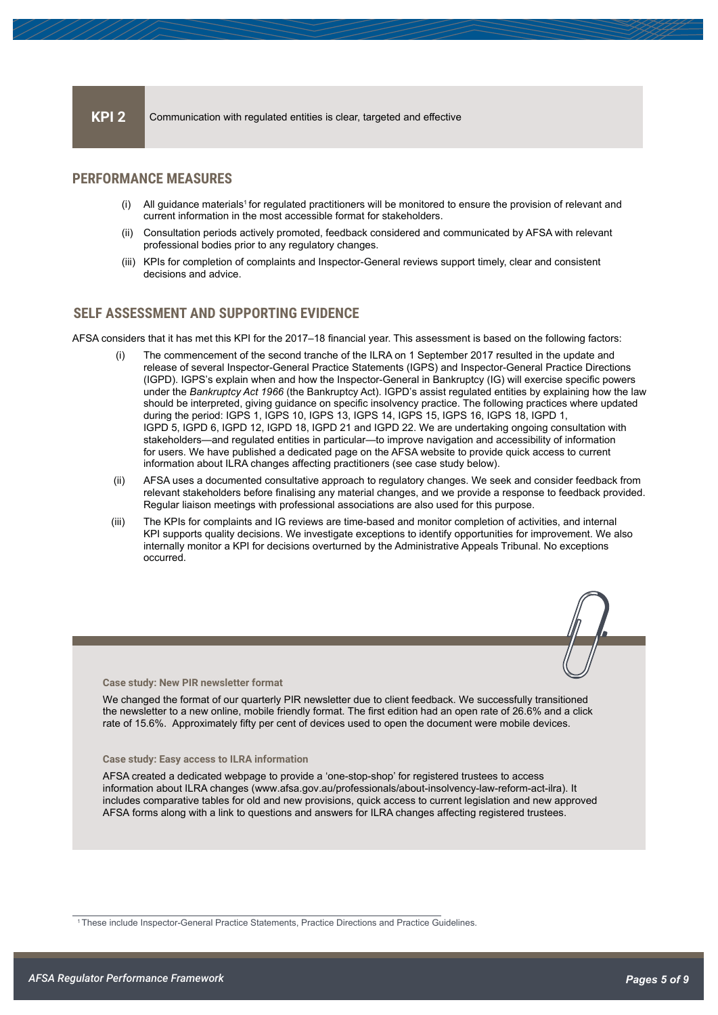#### **KPI 2** Communication with regulated entities is clear, targeted and effective

#### **PERFORMANCE MEASURES**

- (i) All guidance materials<sup>1</sup> for regulated practitioners will be monitored to ensure the provision of relevant and current information in the most accessible format for stakeholders.
- (ii) Consultation periods actively promoted, feedback considered and communicated by AFSA with relevant professional bodies prior to any regulatory changes.
- (iii) KPIs for completion of complaints and Inspector-General reviews support timely, clear and consistent decisions and advice.

### **SELF ASSESSMENT AND SUPPORTING EVIDENCE**

AFSA considers that it has met this KPI for the 2017–18 financial year. This assessment is based on the following factors:

- (i) The commencement of the second tranche of the ILRA on 1 September 2017 resulted in the update and release of several Inspector-General Practice Statements (IGPS) and Inspector-General Practice Directions (IGPD). IGPS's explain when and how the Inspector-General in Bankruptcy (IG) will exercise specific powers under the *Bankruptcy Act 1966* (the Bankruptcy Act). IGPD's assist regulated entities by explaining how the law should be interpreted, giving guidance on specific insolvency practice. The following practices where updated during the period: IGPS 1, IGPS 10, IGPS 13, IGPS 14, IGPS 15, IGPS 16, IGPS 18, IGPD 1, IGPD 5, IGPD 6, IGPD 12, IGPD 18, IGPD 21 and IGPD 22. We are undertaking ongoing consultation with stakeholders—and regulated entities in particular—to improve navigation and accessibility of information for users. We have published a dedicated page on the AFSA website to provide quick access to current information about ILRA changes affecting practitioners (see case study below).
- (ii) AFSA uses a documented consultative approach to regulatory changes. We seek and consider feedback from relevant stakeholders before finalising any material changes, and we provide a response to feedback provided. Regular liaison meetings with professional associations are also used for this purpose.
- (iii) The KPIs for complaints and IG reviews are time-based and monitor completion of activities, and internal KPI supports quality decisions. We investigate exceptions to identify opportunities for improvement. We also internally monitor a KPI for decisions overturned by the Administrative Appeals Tribunal. No exceptions occurred.



We changed the format of our quarterly PIR newsletter due to client feedback. We successfully transitioned the newsletter to a new online, mobile friendly format. The first edition had an open rate of 26.6% and a click rate of 15.6%. Approximately fifty per cent of devices used to open the document were mobile devices.

**Case study: Easy access to ILRA information**

AFSA created a dedicated webpage to provide a 'one-stop-shop' for registered trustees to access information about ILRA changes [\(www.afsa.gov.au/professionals/about-insolvency-law-reform-act-ilra\).](https://www.afsa.gov.au/professionals/about-insolvency-law-reform-act-ilra) It includes comparative tables for old and new provisions, quick access to current legislation and new approved AFSA forms along with a link to questions and answers for ILRA changes affecting registered trustees.

1 These include Inspector-General Practice Statements, Practice Directions and Practice Guidelines.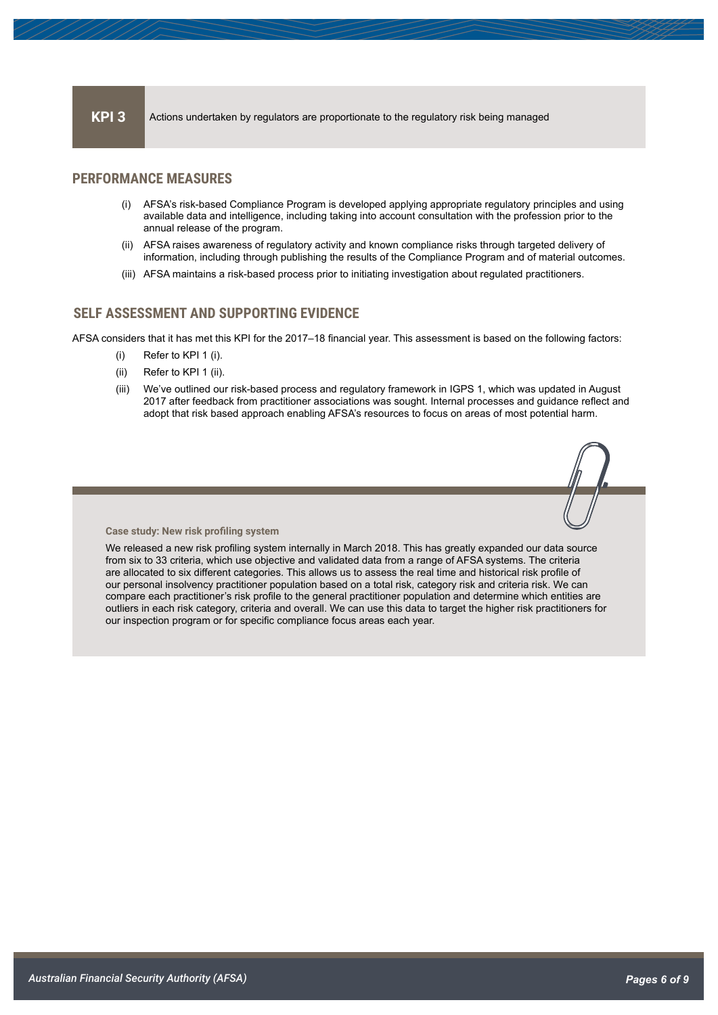### **PERFORMANCE MEASURES**

- (i) AFSA's risk-based Compliance Program is developed applying appropriate regulatory principles and using available data and intelligence, including taking into account consultation with the profession prior to the annual release of the program.
- (ii) AFSA raises awareness of regulatory activity and known compliance risks through targeted delivery of information, including through publishing the results of the Compliance Program and of material outcomes.
- (iii) AFSA maintains a risk-based process prior to initiating investigation about regulated practitioners.

#### **SELF ASSESSMENT AND SUPPORTING EVIDENCE**

AFSA considers that it has met this KPI for the 2017–18 financial year. This assessment is based on the following factors:

- (i) Refer to KPI 1 (i).
- (ii) Refer to KPI 1 (ii).
- (iii) We've outlined our risk-based process and regulatory framework in IGPS 1, which was updated in August 2017 after feedback from practitioner associations was sought. Internal processes and guidance reflect and adopt that risk based approach enabling AFSA's resources to focus on areas of most potential harm.



#### **Case study: New risk profiling system**

We released a new risk profiling system internally in March 2018. This has greatly expanded our data source from six to 33 criteria, which use objective and validated data from a range of AFSA systems. The criteria are allocated to six different categories. This allows us to assess the real time and historical risk profile of our personal insolvency practitioner population based on a total risk, category risk and criteria risk. We can compare each practitioner's risk profile to the general practitioner population and determine which entities are outliers in each risk category, criteria and overall. We can use this data to target the higher risk practitioners for our inspection program or for specific compliance focus areas each year.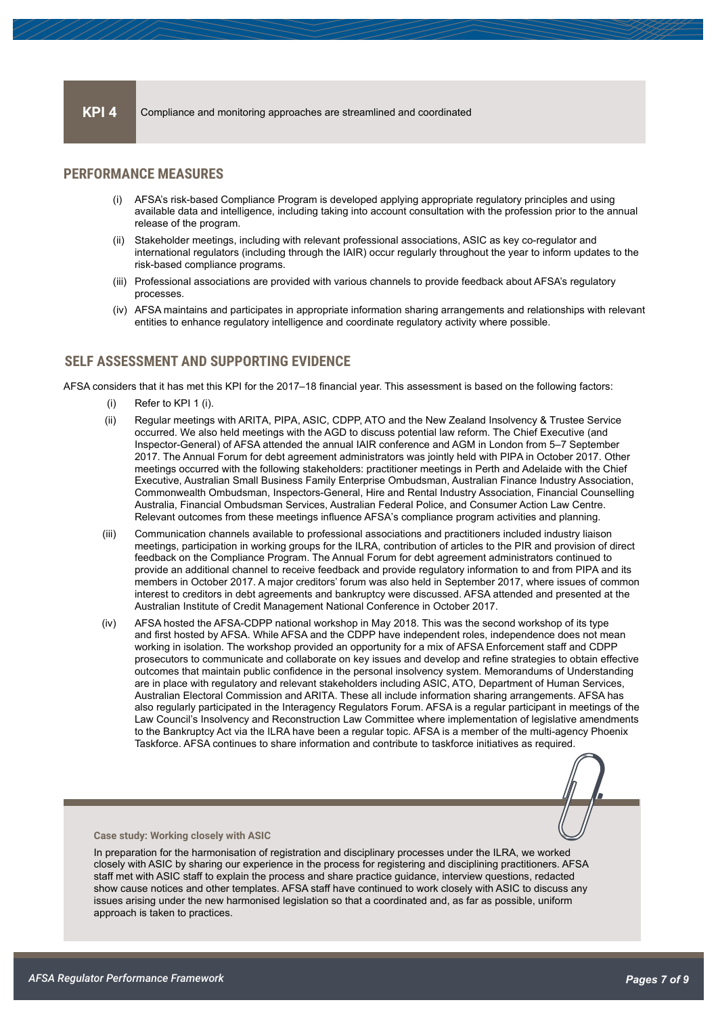#### **KPI 4** Compliance and monitoring approaches are streamlined and coordinated

### **PERFORMANCE MEASURES**

- (i) AFSA's risk-based Compliance Program is developed applying appropriate regulatory principles and using available data and intelligence, including taking into account consultation with the profession prior to the annual release of the program.
- (ii) Stakeholder meetings, including with relevant professional associations, ASIC as key co-regulator and international regulators (including through the IAIR) occur regularly throughout the year to inform updates to the risk-based compliance programs.
- (iii) Professional associations are provided with various channels to provide feedback about AFSA's regulatory processes.
- (iv) AFSA maintains and participates in appropriate information sharing arrangements and relationships with relevant entities to enhance regulatory intelligence and coordinate regulatory activity where possible.

#### **SELF ASSESSMENT AND SUPPORTING EVIDENCE**

AFSA considers that it has met this KPI for the 2017–18 financial year. This assessment is based on the following factors:

- (i) Refer to KPI 1 (i).
- (ii) Regular meetings with ARITA, PIPA, ASIC, CDPP, ATO and the New Zealand Insolvency & Trustee Service occurred. We also held meetings with the AGD to discuss potential law reform. The Chief Executive (and Inspector-General) of AFSA attended the annual IAIR conference and AGM in London from 5–7 September 2017. The Annual Forum for debt agreement administrators was jointly held with PIPA in October 2017. Other meetings occurred with the following stakeholders: practitioner meetings in Perth and Adelaide with the Chief Executive, Australian Small Business Family Enterprise Ombudsman, Australian Finance Industry Association, Commonwealth Ombudsman, Inspectors-General, Hire and Rental Industry Association, Financial Counselling Australia, Financial Ombudsman Services, Australian Federal Police, and Consumer Action Law Centre. Relevant outcomes from these meetings influence AFSA's compliance program activities and planning.
- (iii) Communication channels available to professional associations and practitioners included industry liaison meetings, participation in working groups for the ILRA, contribution of articles to the PIR and provision of direct feedback on the Compliance Program. The Annual Forum for debt agreement administrators continued to provide an additional channel to receive feedback and provide regulatory information to and from PIPA and its members in October 2017. A major creditors' forum was also held in September 2017, where issues of common interest to creditors in debt agreements and bankruptcy were discussed. AFSA attended and presented at the Australian Institute of Credit Management National Conference in October 2017.
- (iv) AFSA hosted the AFSA-CDPP national workshop in May 2018. This was the second workshop of its type and first hosted by AFSA. While AFSA and the CDPP have independent roles, independence does not mean working in isolation. The workshop provided an opportunity for a mix of AFSA Enforcement staff and CDPP prosecutors to communicate and collaborate on key issues and develop and refine strategies to obtain effective outcomes that maintain public confidence in the personal insolvency system. Memorandums of Understanding are in place with regulatory and relevant stakeholders including ASIC, ATO, Department of Human Services, Australian Electoral Commission and ARITA. These all include information sharing arrangements. AFSA has also regularly participated in the Interagency Regulators Forum. AFSA is a regular participant in meetings of the Law Council's Insolvency and Reconstruction Law Committee where implementation of legislative amendments to the Bankruptcy Act via the ILRA have been a regular topic. AFSA is a member of the multi-agency Phoenix Taskforce. AFSA continues to share information and contribute to taskforce initiatives as required.



#### **Case study: Working closely with ASIC**

In preparation for the harmonisation of registration and disciplinary processes under the ILRA, we worked closely with ASIC by sharing our experience in the process for registering and disciplining practitioners. AFSA staff met with ASIC staff to explain the process and share practice guidance, interview questions, redacted show cause notices and other templates. AFSA staff have continued to work closely with ASIC to discuss any issues arising under the new harmonised legislation so that a coordinated and, as far as possible, uniform approach is taken to practices.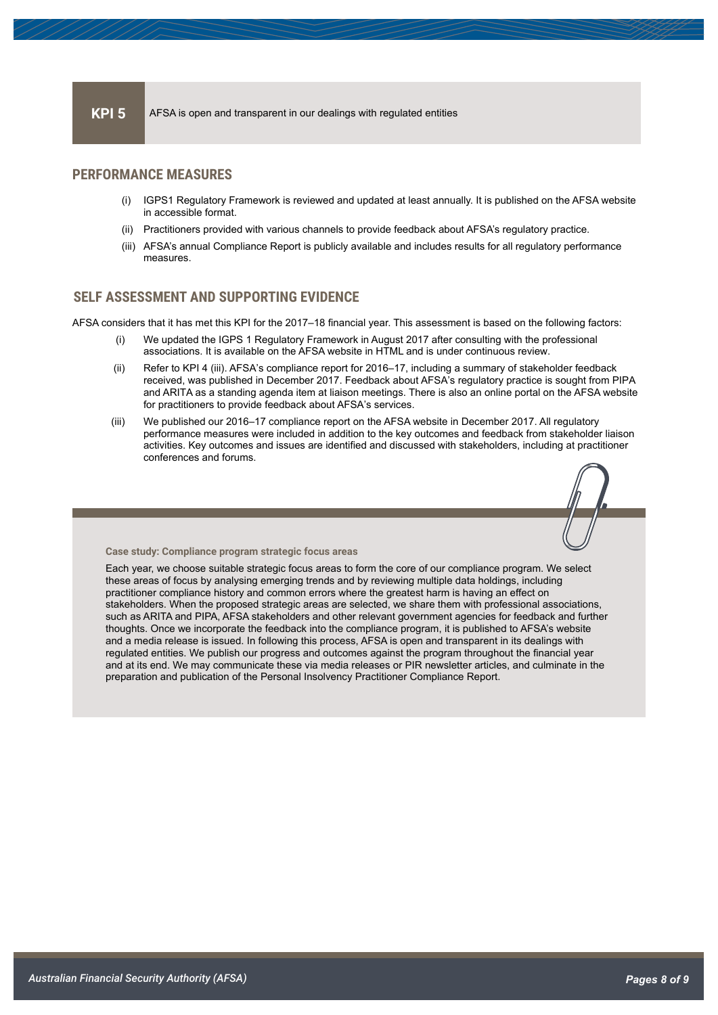#### **PERFORMANCE MEASURES**

- (i) IGPS1 Regulatory Framework is reviewed and updated at least annually. It is published on the AFSA website in accessible format.
- (ii) Practitioners provided with various channels to provide feedback about AFSA's regulatory practice.
- (iii) AFSA's annual Compliance Report is publicly available and includes results for all regulatory performance measures.

### **SELF ASSESSMENT AND SUPPORTING EVIDENCE**

AFSA considers that it has met this KPI for the 2017–18 financial year. This assessment is based on the following factors:

- (i) We updated the IGPS 1 Regulatory Framework in August 2017 after consulting with the professional associations. It is available on the AFSA website in HTML and is under continuous review.
- (ii) Refer to KPI 4 (iii). AFSA's compliance report for 2016–17, including a summary of stakeholder feedback received, was published in December 2017. Feedback about AFSA's regulatory practice is sought from PIPA and ARITA as a standing agenda item at liaison meetings. There is also an online portal on the AFSA website for practitioners to provide feedback about AFSA's services.
- (iii) We published our 2016–17 compliance report on the AFSA website in December 2017. All regulatory performance measures were included in addition to the key outcomes and feedback from stakeholder liaison activities. Key outcomes and issues are identified and discussed with stakeholders, including at practitioner conferences and forums.



**Case study: Compliance program strategic focus areas**

Each year, we choose suitable strategic focus areas to form the core of our compliance program. We select these areas of focus by analysing emerging trends and by reviewing multiple data holdings, including practitioner compliance history and common errors where the greatest harm is having an effect on stakeholders. When the proposed strategic areas are selected, we share them with professional associations, such as ARITA and PIPA, AFSA stakeholders and other relevant government agencies for feedback and further thoughts. Once we incorporate the feedback into the compliance program, it is published to AFSA's website and a media release is issued. In following this process, AFSA is open and transparent in its dealings with regulated entities. We publish our progress and outcomes against the program throughout the financial year and at its end. We may communicate these via media releases or PIR newsletter articles, and culminate in the preparation and publication of the Personal Insolvency Practitioner Compliance Report.